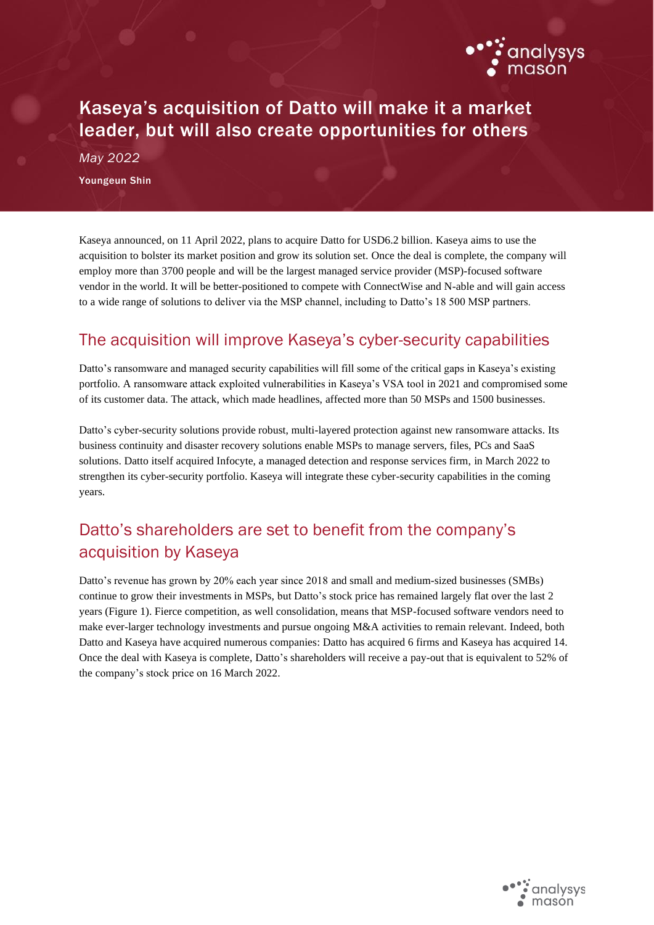

# Kaseya's acquisition of Datto will make it a market leader, but will also create opportunities for others

*May 2022* Youngeun Shin

Kaseya announced, on 11 April 2022, plans to acquire Datto for USD6.2 billion. Kaseya aims to use the acquisition to bolster its market position and grow its solution set. Once the deal is complete, the company will employ more than 3700 people and will be the largest managed service provider (MSP)-focused software vendor in the world. It will be better-positioned to compete with ConnectWise and N-able and will gain access to a wide range of solutions to deliver via the MSP channel, including to Datto's 18 500 MSP partners.

#### The acquisition will improve Kaseya's cyber-security capabilities

Datto's ransomware and managed security capabilities will fill some of the critical gaps in Kaseya's existing portfolio. A ransomware attack exploited vulnerabilities in Kaseya's VSA tool in 2021 and compromised some of its customer data. The attack, which made headlines, affected more than 50 MSPs and 1500 businesses.

Datto's cyber-security solutions provide robust, multi-layered protection against new ransomware attacks. Its business continuity and disaster recovery solutions enable MSPs to manage servers, files, PCs and SaaS solutions. Datto itself acquired Infocyte, a managed detection and response services firm, in March 2022 to strengthen its cyber-security portfolio. Kaseya will integrate these cyber-security capabilities in the coming years.

## Datto's shareholders are set to benefit from the company's acquisition by Kaseya

Datto's revenue has grown by 20% each year since 2018 and small and medium-sized businesses (SMBs) continue to grow their investments in MSPs, but Datto's stock price has remained largely flat over the last 2 years (Figure 1). Fierce competition, as well consolidation, means that MSP-focused software vendors need to make ever-larger technology investments and pursue ongoing M&A activities to remain relevant. Indeed, both Datto and Kaseya have acquired numerous companies: Datto has acquired 6 firms and Kaseya has acquired 14. Once the deal with Kaseya is complete, Datto's shareholders will receive a pay-out that is equivalent to 52% of the company's stock price on 16 March 2022.

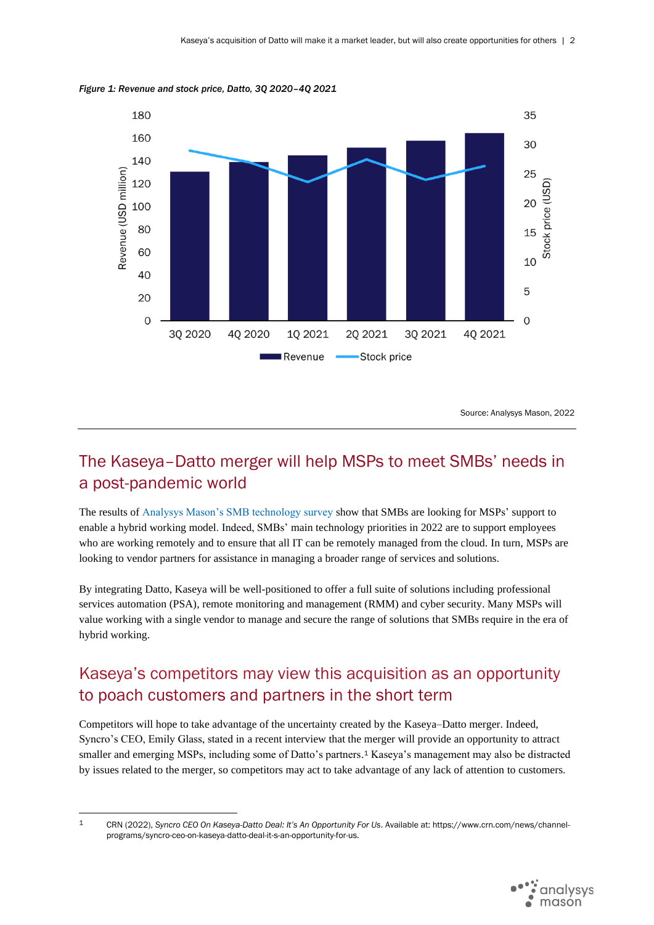

*Figure 1: Revenue and stock price, Datto, 3Q 2020–4Q 2021*

Source: Analysys Mason, 2022

## The Kaseya–Datto merger will help MSPs to meet SMBs' needs in a post-pandemic world

The results of [Analysys Mason's SMB technology survey](https://www.analysysmason.com/research/content/reports/smb-business-survey/) show that SMBs are looking for MSPs' support to enable a hybrid working model. Indeed, SMBs' main technology priorities in 2022 are to support employees who are working remotely and to ensure that all IT can be remotely managed from the cloud. In turn, MSPs are looking to vendor partners for assistance in managing a broader range of services and solutions.

By integrating Datto, Kaseya will be well-positioned to offer a full suite of solutions including professional services automation (PSA), remote monitoring and management (RMM) and cyber security. Many MSPs will value working with a single vendor to manage and secure the range of solutions that SMBs require in the era of hybrid working.

## Kaseya's competitors may view this acquisition as an opportunity to poach customers and partners in the short term

Competitors will hope to take advantage of the uncertainty created by the Kaseya–Datto merger. Indeed, Syncro's CEO, Emily Glass, stated in a recent interview that the merger will provide an opportunity to attract smaller and emerging MSPs, including some of Datto's partners. <sup>1</sup> Kaseya's management may also be distracted by issues related to the merger, so competitors may act to take advantage of any lack of attention to customers.

<sup>1</sup> CRN (2022), *Syncro CEO On Kaseya-Datto Deal: It's An Opportunity For Us*. Available at: https://www.crn.com/news/channelprograms/syncro-ceo-on-kaseya-datto-deal-it-s-an-opportunity-for-us.